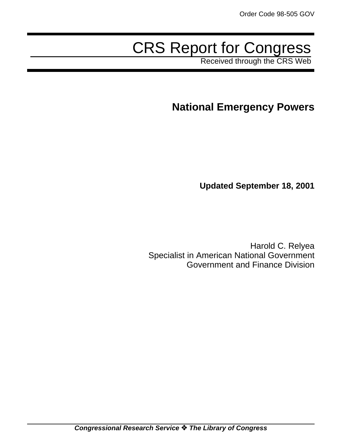# CRS Report for Congress

Received through the CRS Web

# **National Emergency Powers**

**Updated September 18, 2001**

Harold C. Relyea Specialist in American National Government Government and Finance Division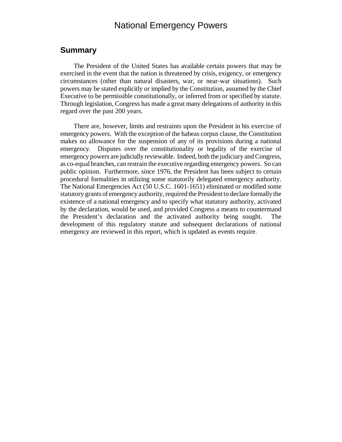# National Emergency Powers

#### **Summary**

The President of the United States has available certain powers that may be exercised in the event that the nation is threatened by crisis, exigency, or emergency circumstances (other than natural disasters, war, or near-war situations). Such powers may be stated explicitly or implied by the Constitution, assumed by the Chief Executive to be permissible constitutionally, or inferred from or specified by statute. Through legislation, Congress has made a great many delegations of authority in this regard over the past 200 years.

There are, however, limits and restraints upon the President in his exercise of emergency powers. With the exception of the habeas corpus clause, the Constitution makes no allowance for the suspension of any of its provisions during a national emergency. Disputes over the constitutionality or legality of the exercise of emergency powers are judicially reviewable. Indeed, both the judiciary and Congress, as co-equal branches, can restrain the executive regarding emergency powers. So can public opinion. Furthermore, since 1976, the President has been subject to certain procedural formalities in utilizing some statutorily delegated emergency authority. The National Emergencies Act (50 U.S.C. 1601-1651) eliminated or modified some statutory grants of emergency authority, required the President to declare formally the existence of a national emergency and to specify what statutory authority, activated by the declaration, would be used, and provided Congress a means to countermand the President's declaration and the activated authority being sought. The development of this regulatory statute and subsequent declarations of national emergency are reviewed in this report, which is updated as events require.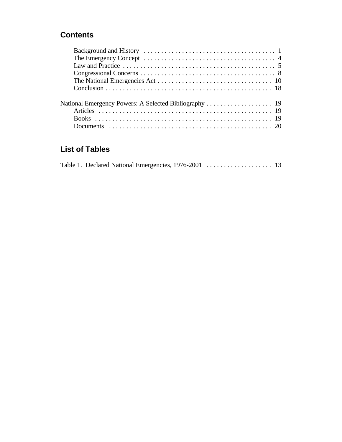# **Contents**

# **List of Tables**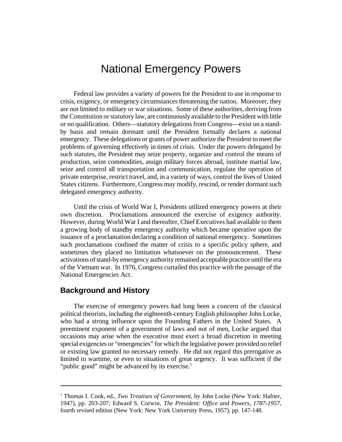# National Emergency Powers

Federal law provides a variety of powers for the President to use in response to crisis, exigency, or emergency circumstances threatening the nation. Moreover, they are not limited to military or war situations. Some of these authorities, deriving from the Constitution or statutory law, are continuously available to the President with little or no qualification. Others—statutory delegations from Congress—exist on a standby basis and remain dormant until the President formally declares a national emergency. These delegations or grants of power authorize the President to meet the problems of governing effectively in times of crisis. Under the powers delegated by such statutes, the President may seize property, organize and control the means of production, seize commodities, assign military forces abroad, institute martial law, seize and control all transportation and communication, regulate the operation of private enterprise, restrict travel, and, in a variety of ways, control the lives of United States citizens. Furthermore, Congress may modify, rescind, or render dormant such delegated emergency authority.

Until the crisis of World War I, Presidents utilized emergency powers at their own discretion. Proclamations announced the exercise of exigency authority. However, during World War I and thereafter, Chief Executives had available to them a growing body of standby emergency authority which became operative upon the issuance of a proclamation declaring a condition of national emergency. Sometimes such proclamations confined the matter of crisis to a specific policy sphere, and sometimes they placed no limitation whatsoever on the pronouncement. These activations of stand-by emergency authority remained acceptable practice until the era of the Vietnam war. In 1976, Congress curtailed this practice with the passage of the National Emergencies Act.

#### **Background and History**

The exercise of emergency powers had long been a concern of the classical political theorists, including the eighteenth-century English philosopher John Locke, who had a strong influence upon the Founding Fathers in the United States. A preeminent exponent of a government of laws and not of men, Locke argued that occasions may arise when the executive must exert a broad discretion in meeting special exigencies or "emergencies" for which the legislative power provided no relief or existing law granted no necessary remedy. He did not regard this prerogative as limited to wartime, or even to situations of great urgency. It was sufficient if the "public good" might be advanced by its exercise. $1$ 

<sup>1</sup> Thomas I. Cook, ed., *Two Treatises of Government*, by John Locke (New York: Hafner, 1947), pp. 203-207; Edward S. Corwin, *The President: Office and Powers, 1787-1957*, fourth revised edition (New York: New York University Press, 1957), pp. 147-148.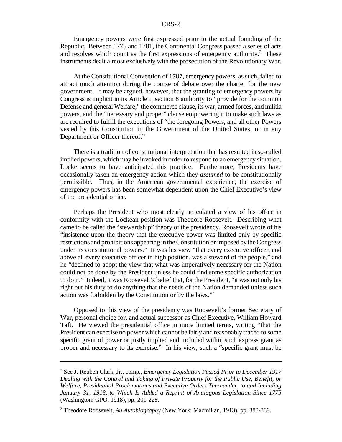Emergency powers were first expressed prior to the actual founding of the Republic. Between 1775 and 1781, the Continental Congress passed a series of acts and resolves which count as the first expressions of emergency authority. $2$  These instruments dealt almost exclusively with the prosecution of the Revolutionary War.

At the Constitutional Convention of 1787, emergency powers, as such, failed to attract much attention during the course of debate over the charter for the new government. It may be argued, however, that the granting of emergency powers by Congress is implicit in its Article I, section 8 authority to "provide for the common Defense and general Welfare," the commerce clause, its war, armed forces, and militia powers, and the "necessary and proper" clause empowering it to make such laws as are required to fulfill the executions of "the foregoing Powers, and all other Powers vested by this Constitution in the Government of the United States, or in any Department or Officer thereof."

There is a tradition of constitutional interpretation that has resulted in so-called implied powers, which may be invoked in order to respond to an emergency situation. Locke seems to have anticipated this practice. Furthermore, Presidents have occasionally taken an emergency action which they *assumed* to be constitutionally permissible. Thus, in the American governmental experience, the exercise of emergency powers has been somewhat dependent upon the Chief Executive's view of the presidential office.

Perhaps the President who most clearly articulated a view of his office in conformity with the Lockean position was Theodore Roosevelt. Describing what came to be called the "stewardship" theory of the presidency, Roosevelt wrote of his "insistence upon the theory that the executive power was limited only by specific restrictions and prohibitions appearing in theConstitution or imposed bytheCongress under its constitutional powers." It was his view "that every executive officer, and above all every executive officer in high position, was a steward of the people," and he "declined to adopt the view that what was imperatively necessary for the Nation could not be done by the President unless he could find some specific authorization to do it." Indeed, it was Roosevelt's belief that, for the President, "it was not only his right but his duty to do anything that the needs of the Nation demanded unless such action was forbidden by the Constitution or by the laws."<sup>3</sup>

Opposed to this view of the presidency was Roosevelt's former Secretary of War, personal choice for, and actual successor as Chief Executive, William Howard Taft. He viewed the presidential office in more limited terms, writing "that the President can exercise no power which cannot be fairly and reasonably traced to some specific grant of power or justly implied and included within such express grant as proper and necessary to its exercise." In his view, such a "specific grant must be

<sup>2</sup> See J. Reuben Clark, Jr., comp., *Emergency Legislation Passed Prior to December 1917 Dealing with the Control and Taking of Private Property for the Public Use, Benefit, or Welfare, Presidential Proclamations and Executive Orders Thereunder, to and Including January 31, 1918, to Which Is Added a Reprint of Analogous Legislation Since 1775* (Washington: GPO, 1918), pp. 201-228.

<sup>3</sup> Theodore Roosevelt, *An Autobiography* (New York: Macmillan, 1913), pp. 388-389.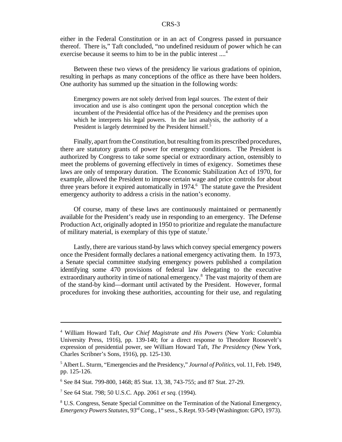either in the Federal Constitution or in an act of Congress passed in pursuance thereof. There is," Taft concluded, "no undefined residuum of power which he can exercise because it seems to him to be in the public interest ....<sup>4</sup>

Between these two views of the presidency lie various gradations of opinion, resulting in perhaps as many conceptions of the office as there have been holders. One authority has summed up the situation in the following words:

Emergency powers are not solely derived from legal sources. The extent of their invocation and use is also contingent upon the personal conception which the incumbent of the Presidential office has of the Presidency and the premises upon which he interprets his legal powers. In the last analysis, the authority of a President is largely determined by the President himself.<sup>5</sup>

Finally, apart from the Constitution, but resulting from its prescribed procedures, there are statutory grants of power for emergency conditions. The President is authorized by Congress to take some special or extraordinary action, ostensibly to meet the problems of governing effectively in times of exigency. Sometimes these laws are only of temporary duration. The Economic Stabilization Act of 1970, for example, allowed the President to impose certain wage and price controls for about three years before it expired automatically in 1974.<sup>6</sup> The statute gave the President emergency authority to address a crisis in the nation's economy.

Of course, many of these laws are continuously maintained or permanently available for the President's ready use in responding to an emergency. The Defense Production Act, originally adopted in 1950 to prioritize and regulate the manufacture of military material, is exemplary of this type of statute.<sup>7</sup>

Lastly, there are various stand-by laws which convey special emergency powers once the President formally declares a national emergency activating them. In 1973, a Senate special committee studying emergency powers published a compilation identifying some 470 provisions of federal law delegating to the executive extraordinary authority in time of national emergency.<sup>8</sup> The vast majority of them are of the stand-by kind—dormant until activated by the President. However, formal procedures for invoking these authorities, accounting for their use, and regulating

<sup>4</sup> William Howard Taft, *Our Chief Magistrate and His Powers* (New York: Columbia University Press, 1916), pp. 139-140; for a direct response to Theodore Roosevelt's expression of presidential power, see William Howard Taft, *The Presidency* (New York, Charles Scribner's Sons, 1916), pp. 125-130.

<sup>5</sup> Albert L. Sturm, "Emergencies and the Presidency," *Journal of Politics*, vol. 11, Feb. 1949, pp. 125-126.

<sup>6</sup> See 84 Stat. 799-800, 1468; 85 Stat. 13, 38, 743-755; and 87 Stat. 27-29.

<sup>7</sup> See 64 Stat. 798; 50 U.S.C. App. 2061 *et seq.* (1994).

<sup>&</sup>lt;sup>8</sup> U.S. Congress, Senate Special Committee on the Termination of the National Emergency, *Emergency Powers Statutes*, 93rd Cong., 1 stsess., S.Rept. 93-549 (Washington: GPO, 1973).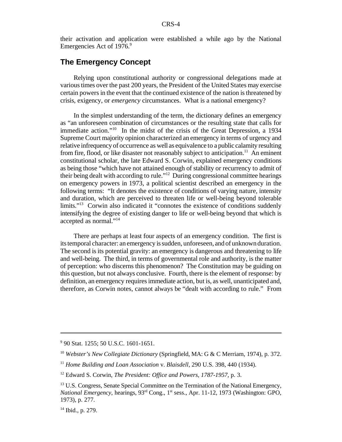their activation and application were established a while ago by the National Emergencies Act of 1976.9

#### **The Emergency Concept**

Relying upon constitutional authority or congressional delegations made at varioustimes over the past 200 years, the President of the United States may exercise certain powers in the event that the continued existence of the nation isthreatened by crisis, exigency, or *emergency* circumstances. What is a national emergency?

In the simplest understanding of the term, the dictionary defines an emergency as "an unforeseen combination of circumstances or the resulting state that calls for immediate action."<sup>10</sup> In the midst of the crisis of the Great Depression, a 1934 Supreme Court majority opinion characterized an emergency in terms of urgency and relative infrequency of occurrence as well as equivalence to a public calamity resulting from fire, flood, or like disaster not reasonably subject to anticipation.<sup>11</sup> An eminent constitutional scholar, the late Edward S. Corwin, explained emergency conditions as being those "which have not attained enough of stability or recurrency to admit of their being dealt with according to rule."<sup>12</sup> During congressional committee hearings on emergency powers in 1973, a political scientist described an emergency in the following terms: "It denotes the existence of conditions of varying nature, intensity and duration, which are perceived to threaten life or well-being beyond tolerable limits."<sup>13</sup> Corwin also indicated it "connotes the existence of conditions suddenly intensifying the degree of existing danger to life or well-being beyond that which is accepted as normal."<sup>14</sup>

There are perhaps at least four aspects of an emergency condition. The first is itstemporal character: an emergency issudden, unforeseen, and of unknown duration. The second is its potential gravity: an emergency is dangerous and threatening to life and well-being. The third, in terms of governmental role and authority, is the matter of perception: who discerns this phenomenon? The Constitution may be guiding on this question, but not always conclusive. Fourth, there is the element of response: by definition, an emergency requires immediate action, but is, as well, unanticipated and, therefore, as Corwin notes, cannot always be "dealt with according to rule." From

<sup>9</sup> 90 Stat. 1255; 50 U.S.C. 1601-1651.

<sup>10</sup> *Webster's New Collegiate Dictionary* (Springfield, MA: G & C Merriam, 1974), p. 372.

<sup>&</sup>lt;sup>11</sup> Home Building and Loan Association v. Blaisdell, 290 U.S. 398, 440 (1934).

<sup>12</sup> Edward S. Corwin, *The President: Office and Powers, 1787-1957*, p. 3.

<sup>&</sup>lt;sup>13</sup> U.S. Congress, Senate Special Committee on the Termination of the National Emergency, *National Emergency*, hearings,  $93<sup>rd</sup>$  Cong., 1<sup>st</sup> sess., Apr. 11-12, 1973 (Washington: GPO, 1973), p. 277.

<sup>&</sup>lt;sup>14</sup> Ibid., p. 279.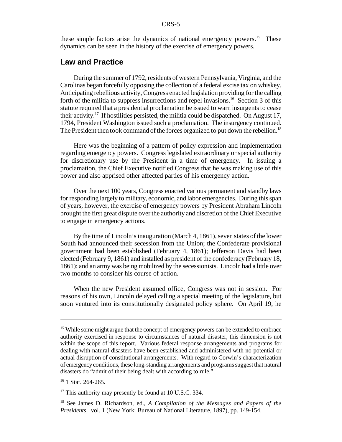#### CRS-5

these simple factors arise the dynamics of national emergency powers.<sup>15</sup> These dynamics can be seen in the history of the exercise of emergency powers.

#### **Law and Practice**

During the summer of 1792, residents of western Pennsylvania, Virginia, and the Carolinas began forcefully opposing the collection of a federal excise tax on whiskey. Anticipating rebellious activity, Congress enacted legislation providing for the calling forth of the militia to suppress insurrections and repel invasions.<sup>16</sup> Section 3 of this statute required that a presidential proclamation be issued to warn insurgents to cease their activity.<sup>17</sup> If hostilities persisted, the militia could be dispatched. On August 17, 1794, President Washington issued such a proclamation. The insurgency continued. The President then took command of the forces organized to put down the rebellion.<sup>18</sup>

Here was the beginning of a pattern of policy expression and implementation regarding emergency powers. Congress legislated extraordinary or special authority for discretionary use by the President in a time of emergency. In issuing a proclamation, the Chief Executive notified Congress that he was making use of this power and also apprised other affected parties of his emergency action.

Over the next 100 years, Congress enacted various permanent and standby laws for responding largely to military, economic, and labor emergencies. During this span of years, however, the exercise of emergency powers by President Abraham Lincoln brought the first great dispute overthe authority and discretion of the Chief Executive to engage in emergency actions.

By the time of Lincoln's inauguration (March 4, 1861), seven states of the lower South had announced their secession from the Union; the Confederate provisional government had been established (February 4, 1861); Jefferson Davis had been elected (February 9, 1861) and installed as president of the confederacy (February 18, 1861); and an army was being mobilized by the secessionists. Lincoln had a little over two months to consider his course of action.

When the new President assumed office, Congress was not in session. For reasons of his own, Lincoln delayed calling a special meeting of the legislature, but soon ventured into its constitutionally designated policy sphere. On April 19, he

<sup>&</sup>lt;sup>15</sup> While some might argue that the concept of emergency powers can be extended to embrace authority exercised in response to circumstances of natural disaster, this dimension is not within the scope of this report. Various federal response arrangements and programs for dealing with natural disasters have been established and administered with no potential or actual disruption of constitutional arrangements. With regard to Corwin's characterization of emergency conditions, these long-standing arrangements and programssuggest that natural disasters do "admit of their being dealt with according to rule."

 $16$  1 Stat. 264-265.

<sup>&</sup>lt;sup>17</sup> This authority may presently be found at 10 U.S.C. 334.

<sup>18</sup> See James D. Richardson, ed., *A Compilation of the Messages and Papers of the Presidents*, vol. 1 (New York: Bureau of National Literature, 1897), pp. 149-154.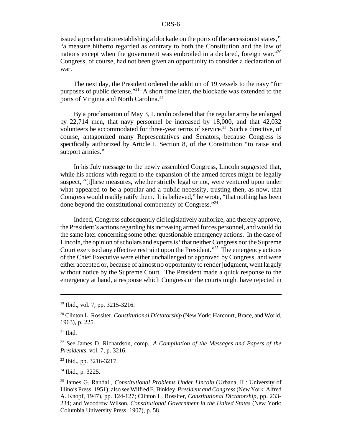#### CRS-6

issued a proclamation establishing a blockade on the ports of the secessionist states,  $19$ "a measure hitherto regarded as contrary to both the Constitution and the law of nations except when the government was embroiled in a declared, foreign war."<sup>20</sup> Congress, of course, had not been given an opportunity to consider a declaration of war.

The next day, the President ordered the addition of 19 vessels to the navy "for purposes of public defense."<sup>21</sup> A short time later, the blockade was extended to the ports of Virginia and North Carolina.<sup>22</sup>

By a proclamation of May 3, Lincoln ordered that the regular army be enlarged by 22,714 men, that navy personnel be increased by 18,000, and that 42,032 volunteers be accommodated for three-year terms of service.<sup>23</sup> Such a directive, of course, antagonized many Representatives and Senators, because Congress is specifically authorized by Article I, Section 8, of the Constitution "to raise and support armies."

In his July message to the newly assembled Congress, Lincoln suggested that, while his actions with regard to the expansion of the armed forces might be legally suspect, "[t]hese measures, whether strictly legal or not, were ventured upon under what appeared to be a popular and a public necessity, trusting then, as now, that Congress would readily ratify them. It is believed," he wrote, "that nothing has been done beyond the constitutional competency of Congress."<sup>24</sup>

Indeed, Congress subsequently did legislatively authorize, and thereby approve, the President's actions regarding his increasing armed forces personnel, and would do the same later concerning some other questionable emergency actions. In the case of Lincoln, the opinion of scholars and experts is "that neither Congress nor the Supreme Court exercised any effective restraint upon the President."<sup>25</sup> The emergency actions of the Chief Executive were either unchallenged or approved by Congress, and were either accepted or, because of almost no opportunity to renderjudgment, went largely without notice by the Supreme Court. The President made a quick response to the emergency at hand, a response which Congress or the courts might have rejected in

<sup>19</sup> Ibid., vol. 7, pp. 3215-3216.

<sup>20</sup> Clinton L. Rossiter, *Constitutional Dictatorship* (New York: Harcourt, Brace, and World, 1963), p. 225.

 $21$  Ibid.

<sup>22</sup> See James D. Richardson, comp., *A Compilation of the Messages and Papers of the Presidents*, vol. 7, p. 3216.

<sup>23</sup> Ibid., pp. 3216-3217.

<sup>&</sup>lt;sup>24</sup> Ibid., p. 3225.

<sup>25</sup> James G. Randall, *Constitutional Problems Under Lincoln* (Urbana, IL: University of Illinois Press, 1951); also seeWilfredE.Binkley,*President and Congress*(New York: Alfred A. Knopf, 1947), pp. 124-127; Clinton L. Rossiter, *Constitutional Dictatorship*, pp. 233- 234; and Woodrow Wilson, *Constitutional Government in the United States* (New York: Columbia University Press, 1907), p. 58.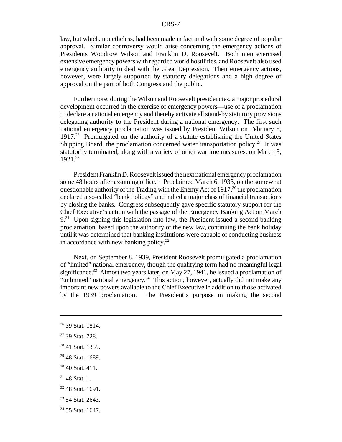law, but which, nonetheless, had been made in fact and with some degree of popular approval. Similar controversy would arise concerning the emergency actions of Presidents Woodrow Wilson and Franklin D. Roosevelt. Both men exercised extensive emergency powers with regard to world hostilities, and Roosevelt also used emergency authority to deal with the Great Depression. Their emergency actions, however, were largely supported by statutory delegations and a high degree of approval on the part of both Congress and the public.

Furthermore, during the Wilson and Roosevelt presidencies, a major procedural development occurred in the exercise of emergency powers—use of a proclamation to declare a national emergency and thereby activate allstand-by statutory provisions delegating authority to the President during a national emergency. The first such national emergency proclamation was issued by President Wilson on February 5, 1917.<sup>26</sup> Promulgated on the authority of a statute establishing the United States Shipping Board, the proclamation concerned water transportation policy.<sup>27</sup> It was statutorily terminated, along with a variety of other wartime measures, on March 3, 1921.<sup>28</sup>

President Franklin D. Roosevelt issued the next national emergency proclamation some 48 hours after assuming office.<sup>29</sup> Proclaimed March 6, 1933, on the somewhat questionable authority of the Trading with the Enemy Act of 1917,  $30$  the proclamation declared a so-called "bank holiday" and halted a major class of financial transactions by closing the banks. Congress subsequently gave specific statutory support for the Chief Executive's action with the passage of the Emergency Banking Act on March  $9<sup>31</sup>$  Upon signing this legislation into law, the President issued a second banking proclamation, based upon the authority of the new law, continuing the bank holiday until it was determined that banking institutions were capable of conducting business in accordance with new banking policy.<sup>32</sup>

Next, on September 8, 1939, President Roosevelt promulgated a proclamation of "limited" national emergency, though the qualifying term had no meaningful legal significance.<sup>33</sup> Almost two years later, on May 27, 1941, he issued a proclamation of "unlimited" national emergency.<sup>34</sup> This action, however, actually did not make any important new powers available to the Chief Executive in addition to those activated by the 1939 proclamation. The President's purpose in making the second

- $31$  48 Stat. 1.
- <sup>32</sup> 48 Stat. 1691.
- <sup>33</sup> 54 Stat. 2643.
- <sup>34</sup> 55 Stat. 1647.

<sup>26</sup> 39 Stat. 1814.

 $27$  39 Stat. 728.

<sup>28</sup> 41 Stat. 1359.

 $29$  48 Stat. 1689.

<sup>30</sup> 40 Stat. 411.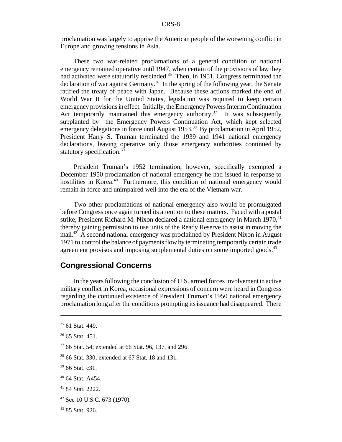proclamation was largely to apprise the American people of the worsening conflict in Europe and growing tensions in Asia.

These two war-related proclamations of a general condition of national emergency remained operative until 1947, when certain of the provisions of law they had activated were statutorily rescinded.<sup>35</sup> Then, in 1951, Congress terminated the declaration of war against Germany.<sup>36</sup> In the spring of the following year, the Senate ratified the treaty of peace with Japan. Because these actions marked the end of World War II for the United States, legislation was required to keep certain emergency provisions in effect. Initially, the Emergency Powers Interim Continuation Act temporarily maintained this emergency authority.<sup>37</sup> It was subsequently supplanted by the Emergency Powers Continuation Act, which kept selected emergency delegations in force until August 1953.<sup>38</sup> By proclamation in April 1952, President Harry S. Truman terminated the 1939 and 1941 national emergency declarations, leaving operative only those emergency authorities continued by statutory specification.<sup>39</sup>

President Truman's 1952 termination, however, specifically exempted a December 1950 proclamation of national emergency he had issued in response to hostilities in Korea.<sup>40</sup> Furthermore, this condition of national emergency would remain in force and unimpaired well into the era of the Vietnam war.

Two other proclamations of national emergency also would be promulgated before Congress once again turned its attention to these matters. Faced with a postal strike, President Richard M. Nixon declared a national emergency in March  $1970$ ,  $41$ thereby gaining permission to use units of the Ready Reserve to assist in moving the mail.<sup>42</sup> A second national emergency was proclaimed by President Nixon in August 1971 to control the balance of paymentsflow by terminating temporarily certain trade agreement provisos and imposing supplemental duties on some imported goods.<sup>43</sup>

#### **Congressional Concerns**

In the years following the conclusion of U.S. armed forces involvement in active military conflict in Korea, occasional expressions of concern were heard in Congress regarding the continued existence of President Truman's 1950 national emergency proclamation long after the conditions prompting itsissuance had disappeared. There

- <sup>41</sup> 84 Stat. 2222.
- <sup>42</sup> See 10 U.S.C. 673 (1970).
- <sup>43</sup> 85 Stat. 926.

<sup>35</sup> 61 Stat. 449.

 $36$  65 Stat. 451.

<sup>37</sup> 66 Stat. 54; extended at 66 Stat. 96, 137, and 296.

<sup>38</sup> 66 Stat. 330; extended at 67 Stat. 18 and 131.

<sup>&</sup>lt;sup>39</sup> 66 Stat. c31.

<sup>40</sup> 64 Stat. A454.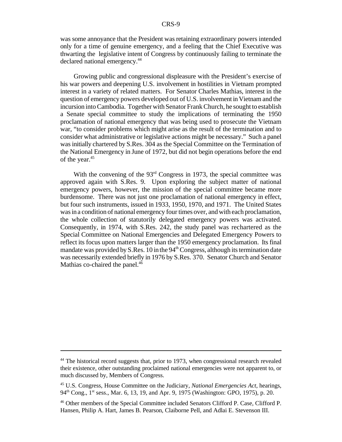was some annoyance that the President was retaining extraordinary powers intended only for a time of genuine emergency, and a feeling that the Chief Executive was thwarting the legislative intent of Congress by continuously failing to terminate the declared national emergency.<sup>44</sup>

Growing public and congressional displeasure with the President's exercise of his war powers and deepening U.S. involvement in hostilities in Vietnam prompted interest in a variety of related matters. For Senator Charles Mathias, interest in the question of emergency powers developed out of U.S. involvement inVietnam and the incursion intoCambodia. Together with Senator Frank Church, he sought to establish a Senate special committee to study the implications of terminating the 1950 proclamation of national emergency that was being used to prosecute the Vietnam war, "to consider problems which might arise as the result of the termination and to consider what administrative or legislative actions might be necessary." Such a panel was initially chartered by S.Res. 304 as the Special Committee on the Termination of the National Emergency in June of 1972, but did not begin operations before the end of the year.<sup>45</sup>

With the convening of the  $93<sup>rd</sup>$  Congress in 1973, the special committee was approved again with S.Res. 9. Upon exploring the subject matter of national emergency powers, however, the mission of the special committee became more burdensome. There was not just one proclamation of national emergency in effect, but four such instruments, issued in 1933, 1950, 1970, and 1971. The United States was in a condition of national emergency four times over, and with each proclamation, the whole collection of statutorily delegated emergency powers was activated. Consequently, in 1974, with S.Res. 242, the study panel was rechartered as the Special Committee on National Emergencies and Delegated Emergency Powers to reflect its focus upon matters larger than the 1950 emergency proclamation. Its final mandate was provided by S.Res.  $10$  in the  $94<sup>th</sup>$  Congress, although its termination date was necessarily extended briefly in 1976 by S.Res. 370. Senator Church and Senator Mathias co-chaired the panel.<sup>46</sup>

<sup>&</sup>lt;sup>44</sup> The historical record suggests that, prior to 1973, when congressional research revealed their existence, other outstanding proclaimed national emergencies were not apparent to, or much discussed by, Members of Congress.

<sup>45</sup> U.S. Congress, House Committee on the Judiciary, *National Emergencies Act*, hearings, 94<sup>th</sup> Cong., 1<sup>st</sup> sess., Mar. 6, 13, 19, and Apr. 9, 1975 (Washington: GPO, 1975), p. 20.

<sup>46</sup> Other members of the Special Committee included Senators Clifford P. Case, Clifford P. Hansen, Philip A. Hart, James B. Pearson, Claiborne Pell, and Adlai E. Stevenson III.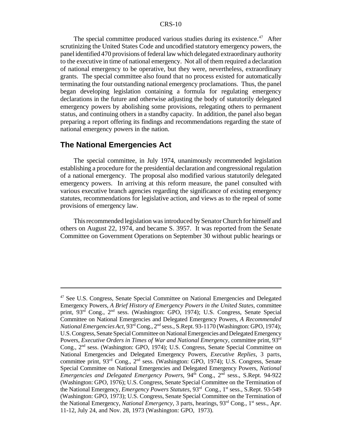#### CRS-10

The special committee produced various studies during its existence.<sup> $47$ </sup> After scrutinizing the United States Code and uncodified statutory emergency powers, the panel identified 470 provisions offederal law which delegated extraordinary authority to the executive in time of national emergency. Not all of them required a declaration of national emergency to be operative, but they were, nevertheless, extraordinary grants. The special committee also found that no process existed for automatically terminating the four outstanding national emergency proclamations. Thus, the panel began developing legislation containing a formula for regulating emergency declarations in the future and otherwise adjusting the body of statutorily delegated emergency powers by abolishing some provisions, relegating others to permanent status, and continuing others in a standby capacity. In addition, the panel also began preparing a report offering its findings and recommendations regarding the state of national emergency powers in the nation.

#### **The National Emergencies Act**

The special committee, in July 1974, unanimously recommended legislation establishing a procedure for the presidential declaration and congressional regulation of a national emergency. The proposal also modified various statutorily delegated emergency powers. In arriving at this reform measure, the panel consulted with various executive branch agencies regarding the significance of existing emergency statutes, recommendations for legislative action, and views as to the repeal of some provisions of emergency law.

This recommended legislation was introduced by Senator Church for himself and others on August 22, 1974, and became S. 3957. It was reported from the Senate Committee on Government Operations on September 30 without public hearings or

<sup>47</sup> See U.S. Congress, Senate Special Committee on National Emergencies and Delegated Emergency Powers, *A Brief History of Emergency Powers in the United States,* committee print, 93<sup>rd</sup> Cong., 2<sup>nd</sup> sess. (Washington: GPO, 1974); U.S. Congress, Senate Special Committee on National Emergencies and Delegated Emergency Powers, *A Recommended National EmergenciesAct*, 93rd Cong., 2 nd sess., S.Rept. 93-1170 (Washington:GPO, 1974); U.S. Congress, Senate Special Committee on National Emergencies and Delegated Emergency Powers, *Executive Orders in Times of War and National Emergency*, committee print, 93rd Cong., 2<sup>nd</sup> sess. (Washington: GPO, 1974); U.S. Congress, Senate Special Committee on National Emergencies and Delegated Emergency Powers, *Executive Replies*, 3 parts, committee print, 93<sup>rd</sup> Cong., 2<sup>nd</sup> sess. (Washington: GPO, 1974); U.S. Congress, Senate Special Committee on National Emergencies and Delegated Emergency Powers, *National* Emergencies and Delegated Emergency Powers, 94<sup>th</sup> Cong., 2<sup>nd</sup> sess., S.Rept. 94-922 (Washington: GPO, 1976); U.S. Congress, Senate Special Committee on the Termination of the National Emergency, *Emergency Powers Statutes*, 93rd Cong., 1st sess., S.Rept. 93-549 (Washington: GPO, 1973); U.S. Congress, Senate Special Committee on the Termination of the National Emergency, *National Emergency*, 3 parts, hearings, 93<sup>rd</sup> Cong., 1<sup>st</sup> sess., Apr. 11-12, July 24, and Nov. 28, 1973 (Washington: GPO, 1973).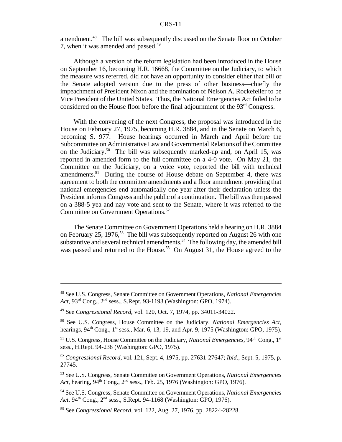amendment.<sup>48</sup> The bill was subsequently discussed on the Senate floor on October 7, when it was amended and passed.<sup>49</sup>

Although a version of the reform legislation had been introduced in the House on September 16, becoming H.R. 16668, the Committee on the Judiciary, to which the measure was referred, did not have an opportunity to consider either that bill or the Senate adopted version due to the press of other business—chiefly the impeachment of President Nixon and the nomination of Nelson A. Rockefeller to be Vice President of the United States. Thus, the National Emergencies Act failed to be considered on the House floor before the final adjournment of the  $93<sup>rd</sup>$  Congress.

With the convening of the next Congress, the proposal was introduced in the House on February 27, 1975, becoming H.R. 3884, and in the Senate on March 6, becoming S. 977. House hearings occurred in March and April before the Subcommittee on Administrative Law and Governmental Relations of the Committee on the Judiciary.<sup>50</sup> The bill was subsequently marked-up and, on April 15, was reported in amended form to the full committee on a 4-0 vote. On May 21, the Committee on the Judiciary, on a voice vote, reported the bill with technical amendments.<sup>51</sup> During the course of House debate on September 4, there was agreement to both the committee amendments and a floor amendment providing that national emergencies end automatically one year after their declaration unless the President informsCongress and the public of a continuation. The bill was then passed on a 388-5 yea and nay vote and sent to the Senate, where it was referred to the Committee on Government Operations.<sup>52</sup>

The Senate Committee on Government Operations held a hearing on H.R. 3884 on February 25, 1976,<sup>53</sup> The bill was subsequently reported on August 26 with one substantive and several technical amendments.<sup>54</sup> The following day, the amended bill was passed and returned to the House.<sup>55</sup> On August 31, the House agreed to the

<sup>48</sup> See U.S. Congress, Senate Committee on Government Operations, *National Emergencies Act*, 93rd Cong., 2nd sess., S.Rept. 93-1193 (Washington: GPO, 1974).

<sup>49</sup> See *Congressional Record*, vol. 120, Oct. 7, 1974, pp. 34011-34022.

<sup>50</sup> See U.S. Congress, House Committee on the Judiciary, *National Emergencies Act*, hearings, 94<sup>th</sup> Cong., 1<sup>st</sup> sess., Mar. 6, 13, 19, and Apr. 9, 1975 (Washington: GPO, 1975).

<sup>&</sup>lt;sup>51</sup> U.S. Congress, House Committee on the Judiciary, *National Emergencies*, 94<sup>th</sup> Cong., 1<sup>st</sup> sess., H.Rept. 94-238 (Washington: GPO, 1975).

<sup>52</sup> *Congressional Record*, vol. 121, Sept. 4, 1975, pp. 27631-27647; *Ibid.*, Sept. 5, 1975, p. 27745.

<sup>53</sup> See U.S. Congress, Senate Committee on Government Operations, *National Emergencies Act*, hearing, 94<sup>th</sup> Cong., 2<sup>nd</sup> sess., Feb. 25, 1976 (Washington: GPO, 1976).

<sup>54</sup> See U.S. Congress, Senate Committee on Government Operations, *National Emergencies* Act, 94<sup>th</sup> Cong., 2<sup>nd</sup> sess., S.Rept. 94-1168 (Washington: GPO, 1976).

<sup>55</sup> See *Congressional Record*, vol. 122, Aug. 27, 1976, pp. 28224-28228.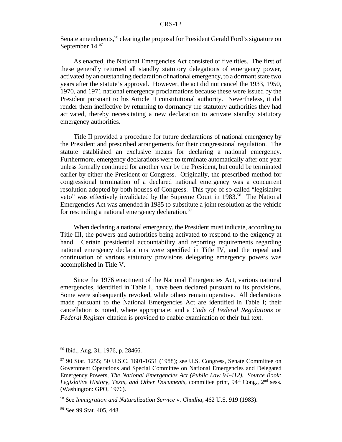Senate amendments,<sup>56</sup> clearing the proposal for President Gerald Ford's signature on September 14.<sup>57</sup>

As enacted, the National Emergencies Act consisted of five titles. The first of these generally returned all standby statutory delegations of emergency power, activated by an outstanding declaration of national emergency, to a dormant state two years after the statute's approval. However, the act did not cancel the 1933, 1950, 1970, and 1971 national emergency proclamations because these were issued by the President pursuant to his Article II constitutional authority. Nevertheless, it did render them ineffective by returning to dormancy the statutory authorities they had activated, thereby necessitating a new declaration to activate standby statutory emergency authorities.

Title II provided a procedure for future declarations of national emergency by the President and prescribed arrangements for their congressional regulation. The statute established an exclusive means for declaring a national emergency. Furthermore, emergency declarations were to terminate automatically after one year unless formally continued for another year by the President, but could be terminated earlier by either the President or Congress. Originally, the prescribed method for congressional termination of a declared national emergency was a concurrent resolution adopted by both houses of Congress. This type of so-called "legislative veto" was effectively invalidated by the Supreme Court in 1983.<sup>58</sup> The National Emergencies Act was amended in 1985 to substitute a joint resolution as the vehicle for rescinding a national emergency declaration.<sup>59</sup>

When declaring a national emergency, the President must indicate, according to Title III, the powers and authorities being activated to respond to the exigency at hand. Certain presidential accountability and reporting requirements regarding national emergency declarations were specified in Title IV, and the repeal and continuation of various statutory provisions delegating emergency powers was accomplished in Title V.

Since the 1976 enactment of the National Emergencies Act, various national emergencies, identified in Table I, have been declared pursuant to its provisions. Some were subsequently revoked, while others remain operative. All declarations made pursuant to the National Emergencies Act are identified in Table I; their cancellation is noted, where appropriate; and a *Code of Federal Regulations* or *Federal Register* citation is provided to enable examination of their full text.

<sup>56</sup> Ibid., Aug. 31, 1976, p. 28466.

<sup>57</sup> 90 Stat. 1255; 50 U.S.C. 1601-1651 (1988); see U.S. Congress, Senate Committee on Government Operations and Special Committee on National Emergencies and Delegated Emergency Powers, *The National Emergencies Act (Public Law 94-412). Source Book:* Legislative History, Texts, and Other Documents, committee print, 94<sup>th</sup> Cong., 2<sup>nd</sup> sess. (Washington: GPO, 1976).

<sup>58</sup> See *Immigration and Naturalization Service* v. *Chadha*, 462 U.S. 919 (1983).

<sup>59</sup> See 99 Stat. 405, 448.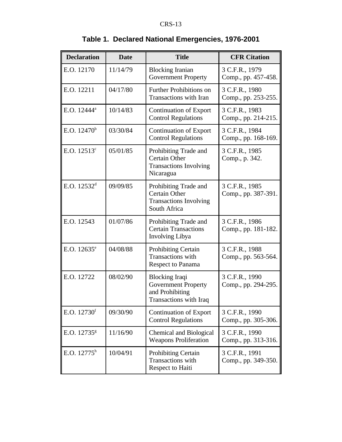| <b>Declaration</b>      | <b>Date</b> | <b>Title</b>                                                                                     | <b>CFR Citation</b>                   |
|-------------------------|-------------|--------------------------------------------------------------------------------------------------|---------------------------------------|
| E.O. 12170              | 11/14/79    | <b>Blocking Iranian</b><br><b>Government Property</b>                                            | 3 C.F.R., 1979<br>Comp., pp. 457-458. |
| E.O. 12211              | 04/17/80    | <b>Further Prohibitions on</b><br><b>Transactions with Iran</b>                                  | 3 C.F.R., 1980<br>Comp., pp. 253-255. |
| E.O. 12444 <sup>a</sup> | 10/14/83    | <b>Continuation of Export</b><br><b>Control Regulations</b>                                      | 3 C.F.R., 1983<br>Comp., pp. 214-215. |
| E.O. $12470^b$          | 03/30/84    | <b>Continuation of Export</b><br><b>Control Regulations</b>                                      | 3 C.F.R., 1984<br>Comp., pp. 168-169. |
| E.O. $12513^{\circ}$    | 05/01/85    | Prohibiting Trade and<br>Certain Other<br><b>Transactions Involving</b><br>Nicaragua             | 3 C.F.R., 1985<br>Comp., p. 342.      |
| E.O. $12532^d$          | 09/09/85    | Prohibiting Trade and<br><b>Certain Other</b><br><b>Transactions Involving</b><br>South Africa   | 3 C.F.R., 1985<br>Comp., pp. 387-391. |
| E.O. 12543              | 01/07/86    | Prohibiting Trade and<br><b>Certain Transactions</b><br><b>Involving Libya</b>                   | 3 C.F.R., 1986<br>Comp., pp. 181-182. |
| E.O. $12635^e$          | 04/08/88    | Prohibiting Certain<br>Transactions with<br>Respect to Panama                                    | 3 C.F.R., 1988<br>Comp., pp. 563-564. |
| E.O. 12722              | 08/02/90    | <b>Blocking Iraqi</b><br><b>Government Property</b><br>and Prohibiting<br>Transactions with Iraq | 3 C.F.R., 1990<br>Comp., pp. 294-295. |
| E.O. $12730^f$          | 09/30/90    | <b>Continuation of Export</b><br><b>Control Regulations</b>                                      | 3 C.F.R., 1990<br>Comp., pp. 305-306. |
| E.O. 12735 <sup>g</sup> | 11/16/90    | <b>Chemical and Biological</b><br><b>Weapons Proliferation</b>                                   | 3 C.F.R., 1990<br>Comp., pp. 313-316. |
| E.O. $12775^h$          | 10/04/91    | Prohibiting Certain<br><b>Transactions</b> with<br>Respect to Haiti                              | 3 C.F.R., 1991<br>Comp., pp. 349-350. |

# **Table 1. Declared National Emergencies, 1976-2001**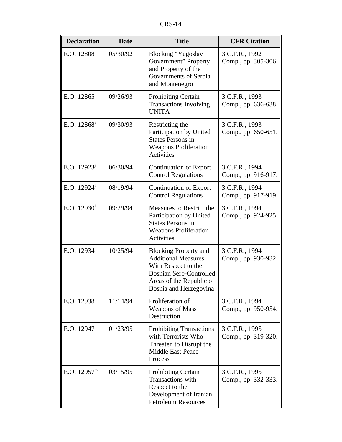| <b>Declaration</b>        | <b>Title</b><br><b>Date</b> |                                                                                                                                                                           | <b>CFR Citation</b>                   |
|---------------------------|-----------------------------|---------------------------------------------------------------------------------------------------------------------------------------------------------------------------|---------------------------------------|
| E.O. 12808                | 05/30/92                    | Blocking "Yugoslav<br>Government" Property<br>and Property of the<br>Governments of Serbia<br>and Montenegro                                                              | 3 C.F.R., 1992<br>Comp., pp. 305-306. |
| E.O. 12865                | 09/26/93                    | <b>Prohibiting Certain</b><br><b>Transactions Involving</b><br><b>UNITA</b>                                                                                               | 3 C.F.R., 1993<br>Comp., pp. 636-638. |
| E.O. $12868^{\mathrm{i}}$ | 09/30/93                    | Restricting the<br>Participation by United<br><b>States Persons in</b><br><b>Weapons Proliferation</b><br>Activities                                                      | 3 C.F.R., 1993<br>Comp., pp. 650-651. |
| E.O. $12923^{\mathrm{j}}$ | 06/30/94                    | <b>Continuation of Export</b><br><b>Control Regulations</b>                                                                                                               | 3 C.F.R., 1994<br>Comp., pp. 916-917. |
| E.O. $12924^k$            | 08/19/94                    | <b>Continuation of Export</b><br><b>Control Regulations</b>                                                                                                               | 3 C.F.R., 1994<br>Comp., pp. 917-919. |
| E.O. $12930^1$            | 09/29/94                    | Measures to Restrict the<br>Participation by United<br><b>States Persons in</b><br><b>Weapons Proliferation</b><br><b>Activities</b>                                      | 3 C.F.R., 1994<br>Comp., pp. 924-925  |
| E.O. 12934                | 10/25/94                    | <b>Blocking Property and</b><br><b>Additional Measures</b><br>With Respect to the<br><b>Bosnian Serb-Controlled</b><br>Areas of the Republic of<br>Bosnia and Herzegovina | 3 C.F.R., 1994<br>Comp., pp. 930-932. |
| E.O. 12938                | 11/14/94                    | Proliferation of<br><b>Weapons of Mass</b><br>Destruction                                                                                                                 | 3 C.F.R., 1994<br>Comp., pp. 950-954. |
| E.O. 12947                | 01/23/95                    | <b>Prohibiting Transactions</b><br>with Terrorists Who<br>Threaten to Disrupt the<br>Middle East Peace<br>Process                                                         | 3 C.F.R., 1995<br>Comp., pp. 319-320. |
| E.O. 12957 <sup>m</sup>   | 03/15/95                    | Prohibiting Certain<br>Transactions with<br>Respect to the<br>Development of Iranian<br><b>Petroleum Resources</b>                                                        | 3 C.F.R., 1995<br>Comp., pp. 332-333. |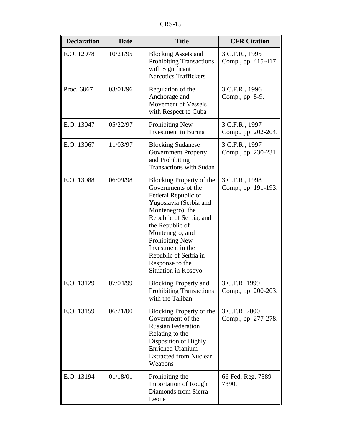| <b>Declaration</b> | <b>Date</b> | <b>Title</b>                                                                                                                                                                                                                                                                                    | <b>CFR Citation</b>                   |
|--------------------|-------------|-------------------------------------------------------------------------------------------------------------------------------------------------------------------------------------------------------------------------------------------------------------------------------------------------|---------------------------------------|
| E.O. 12978         | 10/21/95    | <b>Blocking Assets and</b><br><b>Prohibiting Transactions</b><br>with Significant<br><b>Narcotics Traffickers</b>                                                                                                                                                                               | 3 C.F.R., 1995<br>Comp., pp. 415-417. |
| Proc. 6867         | 03/01/96    | Regulation of the<br>Anchorage and<br>Movement of Vessels<br>with Respect to Cuba                                                                                                                                                                                                               | 3 C.F.R., 1996<br>Comp., pp. 8-9.     |
| E.O. 13047         | 05/22/97    | Prohibiting New<br><b>Investment</b> in Burma                                                                                                                                                                                                                                                   | 3 C.F.R., 1997<br>Comp., pp. 202-204. |
| E.O. 13067         | 11/03/97    | <b>Blocking Sudanese</b><br><b>Government Property</b><br>and Prohibiting<br><b>Transactions with Sudan</b>                                                                                                                                                                                     | 3 C.F.R., 1997<br>Comp., pp. 230-231. |
| E.O. 13088         | 06/09/98    | Blocking Property of the<br>Governments of the<br>Federal Republic of<br>Yugoslavia (Serbia and<br>Montenegro), the<br>Republic of Serbia, and<br>the Republic of<br>Montenegro, and<br>Prohibiting New<br>Investment in the<br>Republic of Serbia in<br>Response to the<br>Situation in Kosovo | 3 C.F.R., 1998<br>Comp., pp. 191-193. |
| E.O. 13129         | 07/04/99    | <b>Blocking Property and</b><br><b>Prohibiting Transactions</b><br>with the Taliban                                                                                                                                                                                                             | 3 C.F.R. 1999<br>Comp., pp. 200-203.  |
| E.O. 13159         | 06/21/00    | Blocking Property of the<br>Government of the<br><b>Russian Federation</b><br>Relating to the<br>Disposition of Highly<br><b>Enriched Uranium</b><br><b>Extracted from Nuclear</b><br>Weapons                                                                                                   | 3 C.F.R. 2000<br>Comp., pp. 277-278.  |
| E.O. 13194         | 01/18/01    | Prohibiting the<br><b>Importation of Rough</b><br>Diamonds from Sierra<br>Leone                                                                                                                                                                                                                 | 66 Fed. Reg. 7389-<br>7390.           |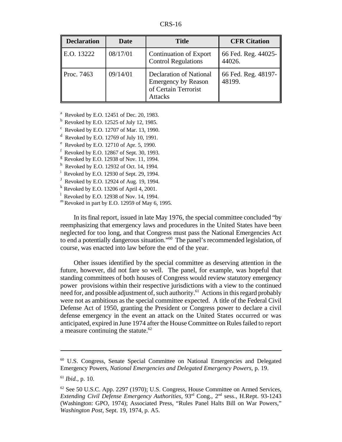| <b>Declaration</b> | Date     | <b>Title</b>                                                                                           | <b>CFR Citation</b>           |
|--------------------|----------|--------------------------------------------------------------------------------------------------------|-------------------------------|
| E.O. 13222         | 08/17/01 | Continuation of Export<br><b>Control Regulations</b>                                                   | 66 Fed. Reg. 44025-<br>44026. |
| Proc. 7463         | 09/14/01 | <b>Declaration of National</b><br><b>Emergency by Reason</b><br>of Certain Terrorist<br><b>Attacks</b> | 66 Fed. Reg. 48197-<br>48199. |

 $a^2$  Revoked by E.O. 12451 of Dec. 20, 1983.

 $b$  Revoked by E.O. 12525 of July 12, 1985.

 $c$  Revoked by E.O. 12707 of Mar. 13, 1990.

 $d$  Revoked by E.O. 12769 of July 10, 1991.

 $e^{\text{e}}$  Revoked by E.O. 12710 of Apr. 5, 1990.

 $<sup>f</sup>$  Revoked by E.O. 12867 of Sept. 30, 1993.</sup>

 $g<sup>g</sup>$  Revoked by E.O. 12938 of Nov. 11, 1994.

 $h$  Revoked by E.O. 12932 of Oct. 14, 1994.

Revoked by E.O. 12930 of Sept. 29, 1994.

 $J$  Revoked by E.O. 12924 of Aug. 19, 1994.

 $k$  Revoked by E.O. 13206 of April 4, 2001.

 $\frac{1}{2}$  Revoked by E.O. 12938 of Nov. 14, 1994.

 $<sup>m</sup>$  Revoked in part by E.O. 12959 of May 6, 1995.</sup>

In itsfinal report, issued in late May 1976, the special committee concluded "by reemphasizing that emergency laws and procedures in the United States have been neglected for too long, and that Congress must pass the National Emergencies Act to end a potentially dangerous situation."<sup>60</sup> The panel's recommended legislation, of course, was enacted into law before the end of the year.

Other issues identified by the special committee as deserving attention in the future, however, did not fare so well. The panel, for example, was hopeful that standing committees of both houses of Congress would review statutory emergency power provisions within their respective jurisdictions with a view to the continued need for, and possible adjustment of, such authority.<sup>61</sup> Actions in this regard probably were not as ambitious as the special committee expected. A title of the Federal Civil Defense Act of 1950, granting the President or Congress power to declare a civil defense emergency in the event an attack on the United States occurred or was anticipated, expired in June 1974 after the House Committee on Rulesfailed to report a measure continuing the statute. $62$ 

<sup>60</sup> U.S. Congress, Senate Special Committee on National Emergencies and Delegated Emergency Powers, *National Emergencies and Delegated Emergency Powers*, p. 19.

<sup>61</sup> *Ibid.*, p. 10.

<sup>62</sup> See 50 U.S.C. App. 2297 (1970); U.S. Congress, House Committee on Armed Services, *Extending Civil Defense Emergency Authorities*, 93rd Cong., 2 nd sess., H.Rept. 93-1243 (Washington: GPO, 1974); Associated Press, "Rules Panel Halts Bill on War Powers," *Washington Post*, Sept. 19, 1974, p. A5.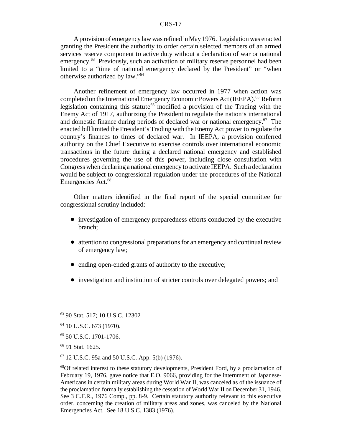#### CRS-17

Aprovision of emergency law wasrefined inMay 1976. Legislation was enacted granting the President the authority to order certain selected members of an armed services reserve component to active duty without a declaration of war or national emergency.<sup>63</sup> Previously, such an activation of military reserve personnel had been limited to a "time of national emergency declared by the President" or "when otherwise authorized by law."<sup>64</sup>

Another refinement of emergency law occurred in 1977 when action was completed on the International Emergency Economic Powers Act (IEEPA).<sup>65</sup> Reform legislation containing this statute<sup>66</sup> modified a provision of the Trading with the Enemy Act of 1917, authorizing the President to regulate the nation's international and domestic finance during periods of declared war or national emergency.<sup>67</sup> The enacted bill limited the President's Trading with the Enemy Act power to regulate the country's finances to times of declared war. In IEEPA, a provision conferred authority on the Chief Executive to exercise controls over international economic transactions in the future during a declared national emergency and established procedures governing the use of this power, including close consultation with Congress when declaring a national emergency to activate IEEPA. Such a declaration would be subject to congressional regulation under the procedures of the National Emergencies Act.<sup>68</sup>

Other matters identified in the final report of the special committee for congressional scrutiny included:

- investigation of emergency preparedness efforts conducted by the executive branch;
- attention to congressional preparations for an emergency and continual review of emergency law;
- ending open-ended grants of authority to the executive;
- investigation and institution of stricter controls over delegated powers; and

<sup>63</sup> 90 Stat. 517; 10 U.S.C. 12302

<sup>64</sup> 10 U.S.C. 673 (1970).

 $65$  50 U.S.C. 1701-1706.

<sup>66</sup> 91 Stat. 1625.

 $67$  12 U.S.C. 95a and 50 U.S.C. App. 5(b) (1976).

<sup>&</sup>lt;sup>68</sup>Of related interest to these statutory developments, President Ford, by a proclamation of February 19, 1976, gave notice that E.O. 9066, providing for the internment of Japanese-Americans in certain military areas during World War II, was canceled as of the issuance of the proclamation formally establishing the cessation of World War II on December 31, 1946. See 3 C.F.R., 1976 Comp., pp. 8-9. Certain statutory authority relevant to this executive order, concerning the creation of military areas and zones, was canceled by the National Emergencies Act. See 18 U.S.C. 1383 (1976).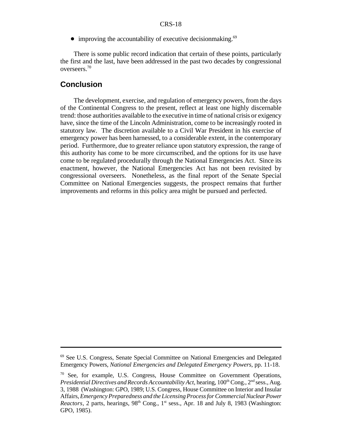$\bullet$  improving the accountability of executive decisionmaking.<sup>69</sup>

There is some public record indication that certain of these points, particularly the first and the last, have been addressed in the past two decades by congressional overseers.<sup>70</sup>

#### **Conclusion**

The development, exercise, and regulation of emergency powers, from the days of the Continental Congress to the present, reflect at least one highly discernable trend: those authorities available to the executive in time of national crisis or exigency have, since the time of the Lincoln Administration, come to be increasingly rooted in statutory law. The discretion available to a Civil War President in his exercise of emergency power has been harnessed, to a considerable extent, in the contemporary period. Furthermore, due to greater reliance upon statutory expression, the range of this authority has come to be more circumscribed, and the options for its use have come to be regulated procedurally through the National Emergencies Act. Since its enactment, however, the National Emergencies Act has not been revisited by congressional overseers. Nonetheless, as the final report of the Senate Special Committee on National Emergencies suggests, the prospect remains that further improvements and reforms in this policy area might be pursued and perfected.

<sup>69</sup> See U.S. Congress, Senate Special Committee on National Emergencies and Delegated Emergency Powers, *National Emergencies and Delegated Emergency Powers*, pp. 11-18.

 $70$  See, for example, U.S. Congress, House Committee on Government Operations, Presidential Directives and Records Accountability Act, hearing, 100<sup>th</sup> Cong., 2<sup>nd</sup> sess., Aug. 3, 1988 (Washington: GPO, 1989; U.S. Congress, House Committee on Interior and Insular Affairs,*EmergencyPreparedness and the LicensingProcessforCommercial Nuclear Power* Reactors, 2 parts, hearings, 98<sup>th</sup> Cong., 1<sup>st</sup> sess., Apr. 18 and July 8, 1983 (Washington: GPO, 1985).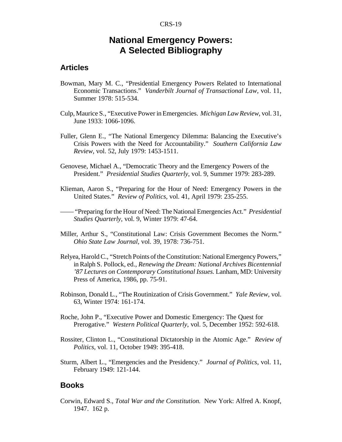# **National Emergency Powers: A Selected Bibliography**

#### **Articles**

- Bowman, Mary M. C., "Presidential Emergency Powers Related to International Economic Transactions." *Vanderbilt Journal of Transactional Law*, vol. 11, Summer 1978: 515-534.
- Culp, Maurice S., "Executive Power inEmergencies. *Michigan LawReview*, vol. 31, June 1933: 1066-1096.
- Fuller, Glenn E., "The National Emergency Dilemma: Balancing the Executive's Crisis Powers with the Need for Accountability." *Southern California Law Review*, vol. 52, July 1979: 1453-1511.
- Genovese, Michael A., "Democratic Theory and the Emergency Powers of the President." *Presidential Studies Quarterly*, vol. 9, Summer 1979: 283-289.
- Klieman, Aaron S., "Preparing for the Hour of Need: Emergency Powers in the United States." *Review of Politics*, vol. 41, April 1979: 235-255.

—— "Preparing for the Hour of Need: The National Emergencies Act." *Presidential Studies Quarterly*, vol. 9, Winter 1979: 47-64.

- Miller, Arthur S., "Constitutional Law: Crisis Government Becomes the Norm." *Ohio State Law Journal*, vol. 39, 1978: 736-751.
- Relyea, Harold C., "Stretch Points of the Constitution: National Emergency Powers," in Ralph S. Pollock, ed., *Renewing the Dream: National Archives Bicentennial '87 Lectures on Contemporary Constitutional Issues.* Lanham, MD: University Press of America, 1986, pp. 75-91.
- Robinson, Donald L., "The Routinization of Crisis Government." *Yale Review*, vol. 63, Winter 1974: 161-174.
- Roche, John P., "Executive Power and Domestic Emergency: The Quest for Prerogative." *Western Political Quarterly*, vol. 5, December 1952: 592-618.
- Rossiter, Clinton L., "Constitutional Dictatorship in the Atomic Age." *Review of Politics*, vol. 11, October 1949: 395-418.
- Sturm, Albert L., "Emergencies and the Presidency." *Journal of Politics*, vol. 11, February 1949: 121-144.

#### **Books**

Corwin, Edward S., *Total War and the Constitution.* New York: Alfred A. Knopf, 1947. 162 p.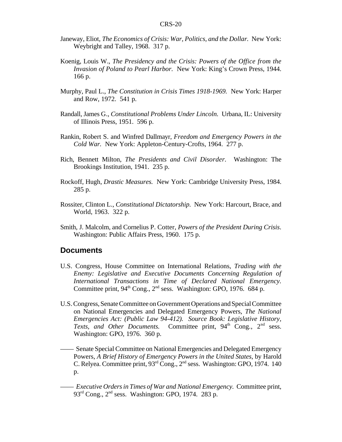- Janeway, Eliot, *The Economics of Crisis: War, Politics, and the Dollar.* New York: Weybright and Talley, 1968. 317 p.
- Koenig, Louis W., *The Presidency and the Crisis: Powers of the Office from the Invasion of Poland to Pearl Harbor.* New York: King's Crown Press, 1944. 166 p.
- Murphy, Paul L., *The Constitution in Crisis Times 1918-1969.* New York: Harper and Row, 1972. 541 p.
- Randall, James G., *Constitutional Problems Under Lincoln.* Urbana, IL: University of Illinois Press, 1951. 596 p.
- Rankin, Robert S. and Winfred Dallmayr, *Freedom and Emergency Powers in the Cold War.* New York: Appleton-Century-Crofts, 1964. 277 p.
- Rich, Bennett Milton, *The Presidents and Civil Disorder.* Washington: The Brookings Institution, 1941. 235 p.
- Rockoff, Hugh, *Drastic Measures.* New York: Cambridge University Press, 1984. 285 p.
- Rossiter, Clinton L., *Constitutional Dictatorship.* New York: Harcourt, Brace, and World, 1963. 322 p.
- Smith, J. Malcolm, and Cornelius P. Cotter, *Powers of the President During Crisis*. Washington: Public Affairs Press, 1960. 175 p.

#### **Documents**

- U.S. Congress, House Committee on International Relations, *Trading with the Enemy: Legislative and Executive Documents Concerning Regulation of International Transactions in Time of Declared National Emergency.* Committee print, 94<sup>th</sup> Cong., 2<sup>nd</sup> sess. Washington: GPO, 1976. 684 p.
- U.S. Congress, Senate Committee on Government Operations and Special Committee on National Emergencies and Delegated Emergency Powers, *The National Emergencies Act: (Public Law 94-412). Source Book: Legislative History,* Texts, and Other Documents. Committee print, 94<sup>th</sup> Cong., 2<sup>nd</sup> sess. Washington: GPO, 1976. 360 p.
	- —— Senate Special Committee on National Emergencies and Delegated Emergency Powers, *A Brief History of Emergency Powers in the United States*, by Harold C. Relyea. Committee print, 93<sup>rd</sup> Cong., 2<sup>nd</sup> sess. Washington: GPO, 1974. 140 p.
	- —— *Executive Ordersin Times of War and National Emergency.* Committee print,  $93<sup>rd</sup>$  Cong.,  $2<sup>nd</sup>$  sess. Washington: GPO, 1974. 283 p.